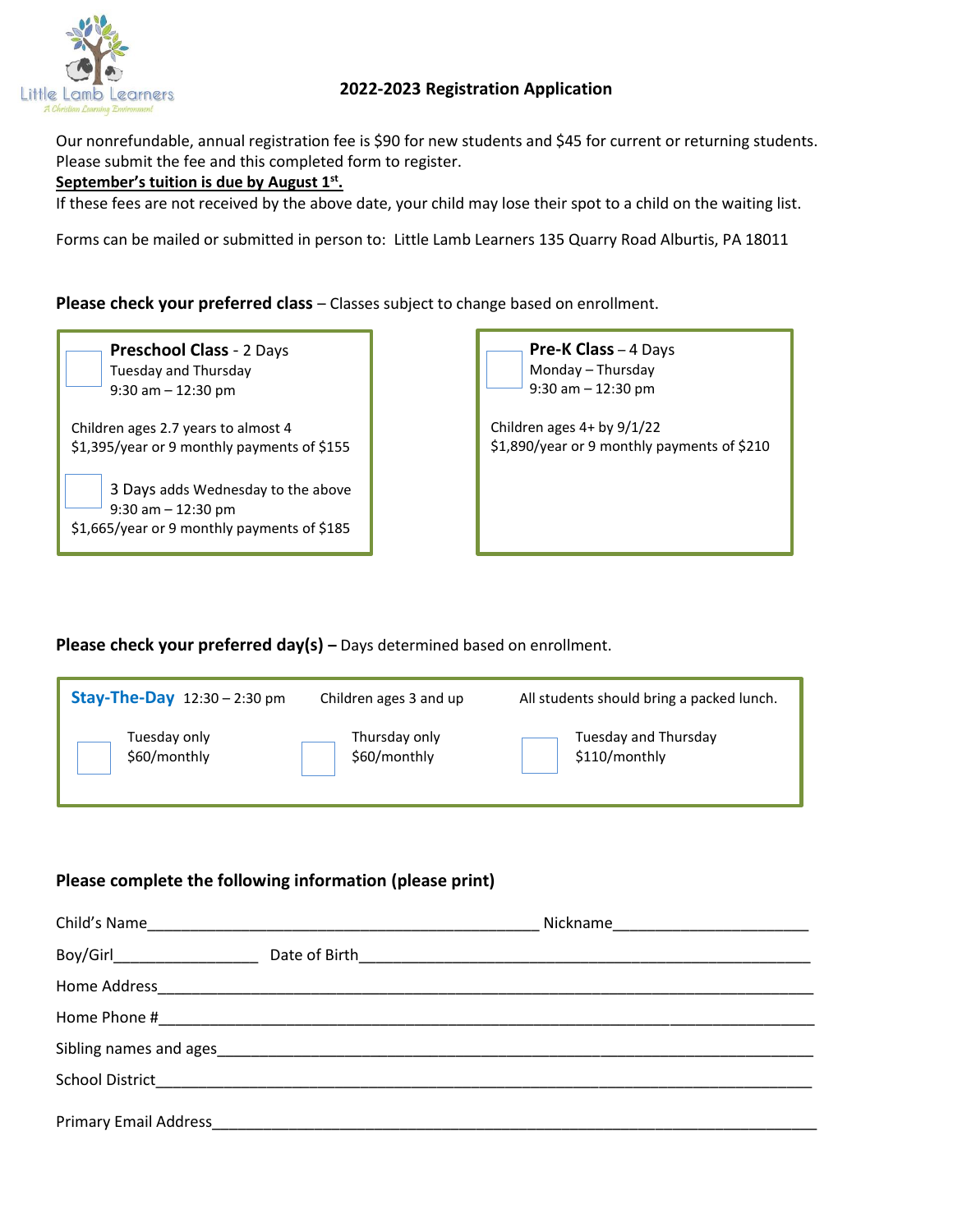

## **2022-2023 Registration Application**

Our nonrefundable, annual registration fee is \$90 for new students and \$45 for current or returning students. Please submit the fee and this completed form to register.

## **September's tuition is due by August 1st .**

If these fees are not received by the above date, your child may lose their spot to a child on the waiting list.

Forms can be mailed or submitted in person to: Little Lamb Learners 135 Quarry Road Alburtis, PA 18011

Please check your preferred class - Classes subject to change based on enrollment.



 3 Days adds Wednesday to the above 9:30 am – 12:30 pm \$1,665/year or 9 monthly payments of \$185

 **Pre-K Class** – 4 Days Monday – Thursday 9:30 am – 12:30 pm

Children ages 4+ by 9/1/22 \$1,890/year or 9 monthly payments of \$210

**Please check your preferred day(s) –** Days determined based on enrollment.

| <b>Stay-The-Day</b> $12:30 - 2:30$ pm | Children ages 3 and up | All students should bring a packed lunch. |
|---------------------------------------|------------------------|-------------------------------------------|
| Tuesday only                          | Thursday only          | Tuesday and Thursday                      |
| \$60/monthly                          | \$60/monthly           | \$110/monthly                             |

## **Please complete the following information (please print)**

| Child's Name                                                                                                                                                                                                                        |                                            |  |
|-------------------------------------------------------------------------------------------------------------------------------------------------------------------------------------------------------------------------------------|--------------------------------------------|--|
| Boy/Girl__________________                                                                                                                                                                                                          | Date of Birth Manuscript and Date of Birth |  |
| Home Address <b>Management Community</b> and the second service of the service of the series of the series of the series of the series of the series of the series of the series of the series of the series of the series of the s |                                            |  |
|                                                                                                                                                                                                                                     |                                            |  |
|                                                                                                                                                                                                                                     |                                            |  |
|                                                                                                                                                                                                                                     |                                            |  |
| <b>Primary Email Address</b>                                                                                                                                                                                                        |                                            |  |